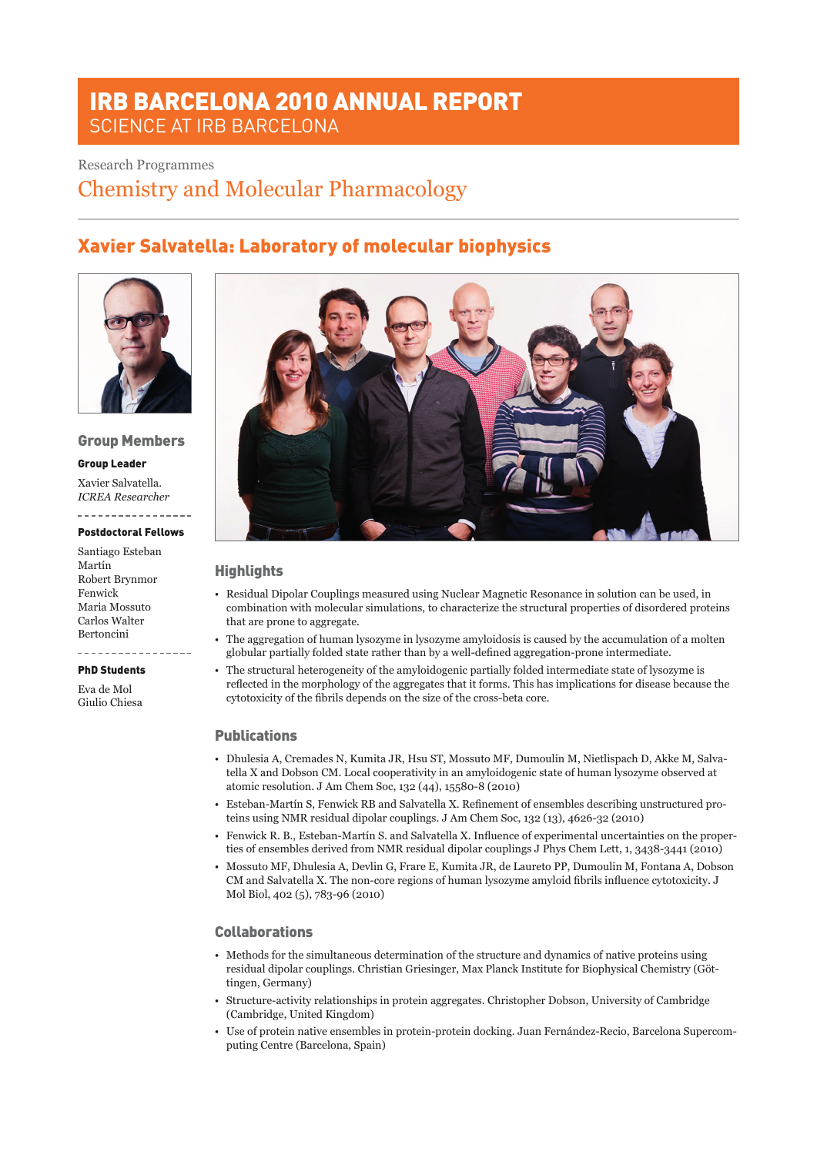# IRB BARCELONA 2010 ANNUAL REPORT SCIENCE AT IRB BARCELONA

### Research Programmes

Chemistry and Molecular Pharmacology

# Xavier Salvatella: Laboratory of molecular biophysics



#### Group Members

#### Group Leader

Xavier Salvatella. *ICREA Researcher*

## Postdoctoral Fellows

Santiago Esteban Martín Robert Brynmor Fenwick Maria Mossuto Carlos Walter Bertoncini

# \_\_\_\_\_\_\_\_\_\_\_\_\_\_\_\_

PhD Students

Eva de Mol Giulio Chiesa



### **Highlights**

- • Residual Dipolar Couplings measured using Nuclear Magnetic Resonance in solution can be used, in combination with molecular simulations, to characterize the structural properties of disordered proteins that are prone to aggregate.
- • The aggregation of human lysozyme in lysozyme amyloidosis is caused by the accumulation of a molten globular partially folded state rather than by a well-defined aggregation-prone intermediate.
- • The structural heterogeneity of the amyloidogenic partially folded intermediate state of lysozyme is reflected in the morphology of the aggregates that it forms. This has implications for disease because the cytotoxicity of the fibrils depends on the size of the cross-beta core.

### **Publications**

- • Dhulesia A, Cremades N, Kumita JR, Hsu ST, Mossuto MF, Dumoulin M, Nietlispach D, Akke M, Salvatella X and Dobson CM. Local cooperativity in an amyloidogenic state of human lysozyme observed at atomic resolution. J Am Chem Soc, 132 (44), 15580-8 (2010)
- • Esteban-Martín S, Fenwick RB and Salvatella X. Refinement of ensembles describing unstructured proteins using NMR residual dipolar couplings. J Am Chem Soc, 132 (13), 4626-32 (2010)
- • Fenwick R. B., Esteban-Martín S. and Salvatella X. Influence of experimental uncertainties on the properties of ensembles derived from NMR residual dipolar couplings J Phys Chem Lett, 1, 3438-3441 (2010)
- • Mossuto MF, Dhulesia A, Devlin G, Frare E, Kumita JR, de Laureto PP, Dumoulin M, Fontana A, Dobson CM and Salvatella X. The non-core regions of human lysozyme amyloid fibrils influence cytotoxicity. J Mol Biol, 402 (5), 783-96 (2010)

### Collaborations

- • Methods for the simultaneous determination of the structure and dynamics of native proteins using residual dipolar couplings. Christian Griesinger, Max Planck Institute for Biophysical Chemistry (Göttingen, Germany)
- • Structure-activity relationships in protein aggregates. Christopher Dobson, University of Cambridge (Cambridge, United Kingdom)
- • Use of protein native ensembles in protein-protein docking. Juan Fernández-Recio, Barcelona Supercomputing Centre (Barcelona, Spain)